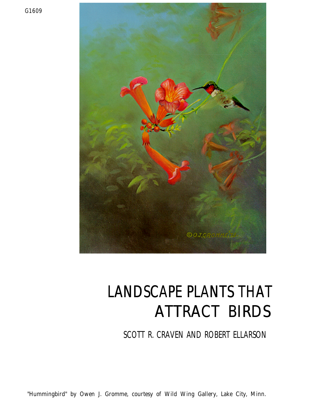G1609



# LANDSCAPE PLANTS THAT ATTRACT BIRDS

SCOTT R. CRAVEN AND ROBERT ELLARSON

"Hummingbird" by Owen J. Gromme, courtesy of Wild Wing Gallery, Lake City, Minn.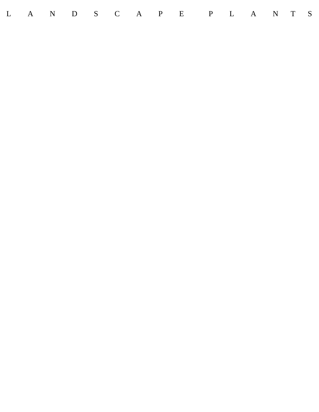|  |  |  |  |  |  |  |  |  |  | LANDSCAPE PLANTS |  |  |  |  |  |
|--|--|--|--|--|--|--|--|--|--|------------------|--|--|--|--|--|
|--|--|--|--|--|--|--|--|--|--|------------------|--|--|--|--|--|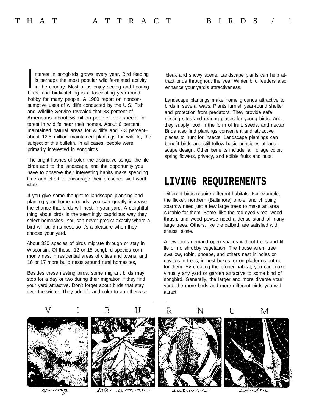Increased in sorigional grows every year. But iceaning<br>is perhaps the most popular wildlife-related activity<br>in the country. Most of us enjoy seeing and hearing nterest in songbirds grows every year. Bird feeding is perhaps the most popular wildlife-related activity birds, and birdwatching is a fascinating year-round hobby for many people. A 1980 report on nonconsumptive uses of wildlife conducted by the U.S. Fish and Wildlife Service revealed that 33 percent of Americans–about 56 million people–took special interest in wildlife near their homes. About 6 percent maintained natural areas for wildlife and 7.3 percent– about 12.5 million–maintained plantings for wildlife, the subject of this bulletin. In all cases, people were primarily interested in songbirds.

The bright flashes of color, the distinctive songs, the life birds add to the landscape, and the opportunity you have to observe their interesting habits make spending time and effort to encourage their presence well worth while.

planting your home grounds, you can greatly increase the flicker, northern (Baltimore) oriole, and chipping<br>the chance that birds will nest in your vard. A delightful sparrow need just a few large trees to make an area the chance that birds will nest in your yard. A delightful sparrow need just a few large trees to make an area<br>thing about birds is the seemingly capricious way they suitable for them. Some, like the red-eyed vireo, wood thing about birds is the seemingly capricious way they suitable for them. Some, like the red-eyed vireo, wood<br>select homesites. You can never predict exactly where a thrush, and wood pewee need a dense stand of many select homesites. You can never predict exactly where a thrush, and wood pewee need a dense stand of man bird will build its nest so it's a pleasure when they large trees. Others, like the catbird, are satisfied with bird will build its nest, so it's a pleasure when they large trees. Others, catabired, and categories are shown in the categories are shown in the categories are shown in the categories are shown in the categories are show choose your yard.

About 330 species of birds migrate through or stay in Wisconsin. Of these, 12 or 15 songbird species commonly nest in residential areas of cities and towns, and 16 or 17 more build nests around rural homesites,

Besides these nesting birds, some migrant birds may stop for a day or two during their migration if they find your yard attractive. Don't forget about birds that stay over the winter. They add life and color to an otherwise

bleak and snowy scene. Landscape plants can help attract birds throughout the year Winter bird feeders also enhance your yard's attractiveness.

Landscape plantings make home grounds attractive to birds in several ways. Plants furnish year-round shelter and protection from predators. They provide safe nesting sites and rearing places for young birds. And, they supply food in the form of fruit, seeds, and nectar Birds also find plantings convenient and attractive places to hunt for insects. Landscape plantings can benefit birds and still follow basic principles of landscape design. Other benefits include fall foliage color, spring flowers, privacy, and edible fruits and nuts.

### **LIVING REQUIREMENTS**

If you give some thought to landscape planning and Different birds require different habitats. For example,<br>planting your bome grounds, you can greatly increase the flicker, northern (Baltimore) oriole, and chipping

A few birds demand open spaces without trees and little or no shrubby vegetation. The house wren, tree swallow, robin, phoebe, and others nest in holes or cavities in trees, in nest boxes, or on platforms put up for them. By creating the proper habitat, you can make virtually any yard or garden attractive to some kind of songbird. Generally, the larger and more diverse your yard, the more birds and more different birds you will attract.



Late  $\alpha\mu$ 

autumn

winte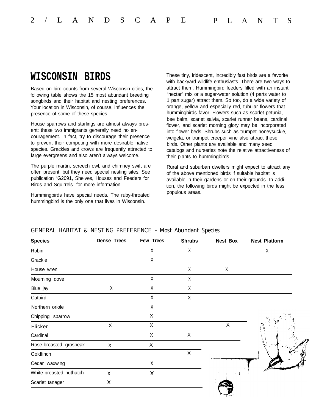#### **WISCONSIN BIRDS**

Based on bird counts from several Wisconsin cities, the following table shows the 15 most abundant breeding songbirds and their habitat and nesting preferences. Your location in Wisconsin, of course, influences the presence of some of these species.

House sparrows and starlings are almost always present: these two immigrants generally need no encouragement. In fact, try to discourage their presence to prevent their competing with more desirable native species. Grackles and crows are frequently attracted to large evergreens and also aren't always welcome.

The purple martin, screech owl, and chimney swift are often present, but they need special nesting sites. See publication "G2091, Shelves, Houses and Feeders for Birds and Squirrels" for more information.

Hummingbirds have special needs. The ruby-throated hummingbird is the only one that lives in Wisconsin.

These tiny, iridescent, incredibly fast birds are a favorite with backyard wildlife enthusiasts. There are two ways to attract them. Hummingbird feeders filled with an instant "nectar" mix or a sugar-water solution (4 parts water to 1 part sugar) attract them. So too, do a wide variety of orange, yellow and especially red, tubular flowers that hummingbirds favor. Flowers such as scarlet petunia, bee balm, scarlet salvia, scarlet runner beans, cardinal flower, and scarlet morning glory may be incorporated into flower beds. Shrubs such as trumpet honeysuckle, weigela, or trumpet creeper vine also attract these birds. Other plants are available and many seed catalogs and nurseries note the relative attractiveness of their plants to hummingbirds.

Rural and suburban dwellers might expect to attract any of the above mentioned birds if suitable habitat is available in their gardens or on their grounds. In addition, the following birds might be expected in the less populous areas.

 $\sum$ 

| <b>Species</b>          | <b>Dense Trees</b> | Few Trees   | <b>Shrubs</b> | <b>Nest Box</b> | <b>Nest Platform</b> |
|-------------------------|--------------------|-------------|---------------|-----------------|----------------------|
| Robin                   |                    | Χ           | Χ             |                 | X                    |
| Grackle                 |                    | X           |               |                 |                      |
| House wren              |                    |             | Χ             | Χ               |                      |
| Mourning dove           |                    | Χ           | Χ             |                 |                      |
| Blue jay                | Χ                  | Χ           | Χ             |                 |                      |
| Catbird                 |                    | $\mathsf X$ | X             |                 |                      |
| Northern oriole         |                    | Χ           |               |                 |                      |
| Chipping sparrow        |                    | X           |               |                 |                      |
| Flicker                 | X                  | X           |               | $\mathsf X$     |                      |
| Cardinal                |                    | X           | X             |                 |                      |
| Rose-breasted grosbeak  | X                  | X           |               |                 |                      |
| Goldfinch               |                    |             | X             |                 |                      |
| Cedar waxwing           |                    | X           |               |                 |                      |
| White-breasted nuthatch | $\pmb{\mathsf{X}}$ | X           |               |                 |                      |
| Scarlet tanager         | X                  |             |               |                 |                      |

#### GENERAL HABITAT & NESTING PREFERENCE – Most Abundant Species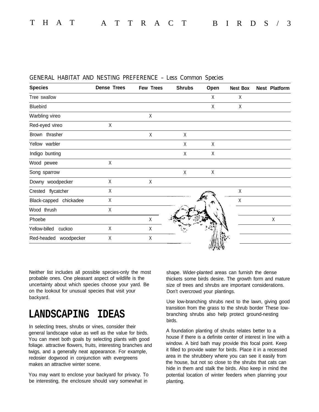#### GENERAL HABITAT AND NESTING PREFERENCE – Less Common Species

| <b>Species</b>           | <b>Dense Trees</b> | Few Trees    | <b>Shrubs</b> | Open | <b>Nest Box</b> | Nest Platform |
|--------------------------|--------------------|--------------|---------------|------|-----------------|---------------|
| Tree swallow             |                    |              |               | Χ    | Χ               |               |
| <b>Bluebird</b>          |                    |              |               | Χ    | Χ               |               |
| Warbling vireo           |                    | $\pmb{\chi}$ |               |      |                 |               |
| Red-eyed vireo           | Χ                  |              |               |      |                 |               |
| Brown thrasher           |                    | X            | Χ             |      |                 |               |
| Yellow warbler           |                    |              | Χ             | χ    |                 |               |
| Indigo bunting           |                    |              | Χ             | Χ    |                 |               |
| Wood pewee               | X                  |              |               |      |                 |               |
| Song sparrow             |                    |              | X             | Χ    |                 |               |
| Downy woodpecker         | X                  | $\sf X$      |               |      |                 |               |
| Crested flycatcher       | X                  |              |               |      | $\mathsf X$     |               |
| Black-capped chickadee   | X                  |              |               |      | Χ               |               |
| Wood thrush              | Χ                  |              |               |      |                 |               |
| Phoebe                   |                    | $\sf X$      |               |      |                 | Χ             |
| Yellow-billed<br>cuckoo  | Χ                  | X            |               |      |                 |               |
| Red-headed<br>woodpecker | Χ                  | Χ            |               |      |                 |               |

Neither list includes all possible species-only the most probable ones. One pleasant aspect of wildlife is the uncertainty about which species choose your yard. Be on the lookout for unusual species that visit your backyard.

## **LANDSCAPING IDEAS**

In selecting trees, shrubs or vines, consider their general landscape value as well as the value for birds. You can meet both goals by selecting plants with good foliage. attractive flowers, fruits, interesting branches and twigs, and a generally neat appearance. For example, redosier dogwood in conjunction with evergreens makes an attractive winter scene.

You may want to enclose your backyard for privacy. To be interesting, the enclosure should vary somewhat in

shape. Wider-planted areas can furnish the dense thickets some birds desire. The growth form and mature size of trees and shrubs are important considerations. Don't overcrowd your plantings.

Use low-branching shrubs next to the lawn, giving good transition from the grass to the shrub border These Iowbranching shrubs also help protect ground-nesting birds.

A foundation planting of shrubs relates better to a house if there is a definite center of interest in line with a window. A bird bath may provide this focal point. Keep it filled to provide water for birds. Place it in a recessed area in the shrubbery where you can see it easily from the house, but not so close to the shrubs that cats can hide in them and stalk the birds. Also keep in mind the potential location of winter feeders when planning your planting.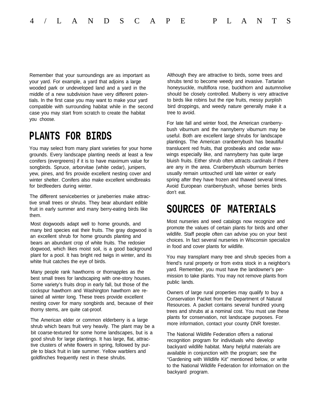Remember that your surroundings are as important as your yard. For example, a yard that adjoins a large wooded park or undeveloped land and a yard in the middle of a new subdivision have very different potentials. In the first case you may want to make your yard compatible with surrounding habitat while in the second case you may start from scratch to create the habitat you choose.

### **PLANTS FOR BIRDS**

You may select from many plant varieties for your home grounds. Every landscape planting needs at least a few conifers (evergreens) if it is to have maximum value for songbirds. Spruce, arborvitae (white cedar), junipers, yew, pines, and firs provide excellent nesting cover and winter shelter. Conifers also make excellent windbreaks for birdfeeders during winter.

The different serviceberries or juneberries make attractive small trees or shrubs. They bear abundant edible fruit in early summer and many berry-eating birds like them.

Most dogwoods adapt well to home grounds, and many bird species eat their fruits. The gray dogwood is an excellent shrub for home grounds planting and bears an abundant crop of white fruits. The redosier dogwood, which likes moist soil, is a good background plant for a pool. It has bright red twigs in winter, and its white fruit catches the eye of birds.

Many people rank hawthorns or thornapples as the best small trees for landscaping with one-story houses. Some variety's fruits drop in early fall, but those of the cockspur hawthorn and Washington hawthorn are retained all winter long. These trees provide excellent nesting cover for many songbirds and, because of their thorny stems, are quite cat-proof.

The American elder or common elderberry is a large shrub which bears fruit very heavily. The plant may be a bit coarse-textured for some home landscapes, but is a good shrub for large plantings. It has large, flat, attractive clusters of white flowers in spring, followed by purple to black fruit in late summer. Yellow warblers and goldfinches frequently nest in these shrubs.

Although they are attractive to birds, some trees and shrubs tend to become weedy and invasive. Tartarian honeysuckle, multiflora rose, buckthorn and autumnolive should be closely controlled. Mulberry is very attractive to birds like robins but the ripe fruits, messy purplish bird droppings, and weedy nature generally make it a tree to avoid.

For late fall and winter food, the American cranberrybush viburnum and the nannyberry viburnum may be useful. Both are excellent large shrubs for landscape plantings. The American cranberrybush has beautiful translucent red fruits, that grosbeaks and cedar waxwings especially like, and nannyberry has quite large bluish fruits. Either shrub often attracts cardinals if there are any in the area. Cranberrybush viburnum berries usually remain untouched until late winter or early spring after they have frozen and thawed several times. Avoid European cranberrybush, whose berries birds don't eat.

#### **SOURCES OF MATERIALS**

Most nurseries and seed catalogs now recognize and promote the values of certain plants for birds and other wildlife. Staff people often can advise you on your best choices. In fact several nurseries in Wisconsin specialize in food and cover plants for wildlife.

You may transplant many tree and shrub species from a friend's rural property or from extra stock in a neighbor's yard. Remember, you must have the landowner's permission to take plants. You may not remove plants from public lands.

Owners of large rural properties may qualify to buy a Conservation Packet from the Department of Natural Resources. A packet contains several hundred young trees and shrubs at a nominal cost. You must use these plants for conservation, not landscape purposes. For more information, contact your county DNR forester.

The National Wildlife Federation offers a national recognition program for individuals who develop backyard wildlife habitat. Many helpful materials are available in conjunction with the program; see the "Gardening with Wildlife Kit" mentioned below, or write to the National Wildlife Federation for information on the backyard program.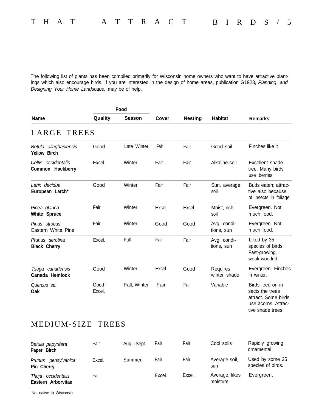The following list of plants has been compiled primarily for Wisconsin home owners who want to have attractive plantings which also encourage birds. If you are interested in the design of home areas, publication G1923, *Planning and Designing Your Home Landscape,* may be of help.

|                                              |                 | Food          |        |                |                           |                                                                                                         |  |
|----------------------------------------------|-----------------|---------------|--------|----------------|---------------------------|---------------------------------------------------------------------------------------------------------|--|
| <b>Name</b>                                  | Quality         | <b>Season</b> | Cover  | <b>Nesting</b> | <b>Habitat</b>            | <b>Remarks</b>                                                                                          |  |
| <b>LARGE TREES</b>                           |                 |               |        |                |                           |                                                                                                         |  |
| Betula alleghaniensis<br><b>Yellow Birch</b> | Good            | Late Winter   | Fair   | Fair           | Good soil                 | Finches like it                                                                                         |  |
| Celtis occidentalis<br>Common Hackberry      | Excel.          | Winter        | Fair   | Fair           | Alkaline soil             | Excellent shade<br>tree. Many birds<br>use berries.                                                     |  |
| Larix decidua<br>European Larch*             | Good            | Winter        | Fair   | Fair           | Sun, average<br>soil      | Buds eaten; attrac-<br>tive also because<br>of insects in foliage.                                      |  |
| Picea glauca<br><b>White Spruce</b>          | Fair            | Winter        | Excel. | Excel.         | Moist, rich<br>soil       | Evergreen. Not<br>much food.                                                                            |  |
| Pinus strobus<br>Eastern White Pine          | Fair            | Winter        | Good   | Good           | Avg. condi-<br>tions, sun | Evergreen. Not<br>much food.                                                                            |  |
| Prunus serotina<br><b>Black Cherry</b>       | Excel.          | Fall          | Fair   | Fair           | Avg. condi-<br>tions, sun | Liked by 35<br>species of birds.<br>Fast-growing,<br>weak-wooded.                                       |  |
| Tsuga canadensis<br>Canada Hemlock           | Good            | Winter        | Excel. | Good           | Requires<br>winter shade  | Evergreen. Finches<br>in winter.                                                                        |  |
| Quercus sp.<br>Oak                           | Good-<br>Excel. | Fall, Winter  | Fair   | Fair           | Variable                  | Birds feed on in-<br>sects the trees<br>attract. Some birds<br>use acorns. Attrac-<br>tive shade trees. |  |

#### MEDIUM-SIZE TREES

| Betula papyrifera<br>Paper Birch            | Fair   | Aug. -Sept. | Fair   | Fair   | Cool soils                 | Rapidly growing<br>ornamental.       |
|---------------------------------------------|--------|-------------|--------|--------|----------------------------|--------------------------------------|
| Prunus pensylvanica<br>Pin Cherry           | Excel. | Summer      | Fair   | Fair   | Average soil,<br>sun       | Used by some 25<br>species of birds. |
| occidentalis<br>Thuja<br>Eastern Arborvitae | Fair   |             | Excel. | Excel. | Average, likes<br>moisture | Evergreen.                           |

'Not native to Wisconsin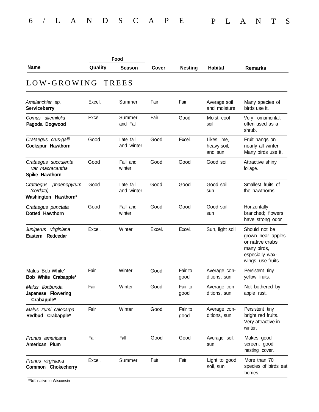|                                                            | Food    |                         |        |                 |                                       |                                                                                                               |
|------------------------------------------------------------|---------|-------------------------|--------|-----------------|---------------------------------------|---------------------------------------------------------------------------------------------------------------|
| <b>Name</b>                                                | Quality | <b>Season</b>           | Cover  | <b>Nesting</b>  | <b>Habitat</b>                        | <b>Remarks</b>                                                                                                |
| LOW-GROWING                                                |         | TREES                   |        |                 |                                       |                                                                                                               |
| Amelanchier sp.<br><b>Serviceberry</b>                     | Excel.  | Summer                  | Fair   | Fair            | Average soil<br>and moisture          | Many species of<br>birds use it.                                                                              |
| Cornus alternifolia<br>Pagoda Dogwood                      | Excel.  | Summer<br>and Fall      | Fair   | Good            | Moist, cool<br>soil                   | Very ornamental,<br>often used as a<br>shrub.                                                                 |
| Crataegus crus-galli<br>Cockspur Hawthorn                  | Good    | Late fall<br>and winter | Good   | Excel.          | Likes lime,<br>heavy soil,<br>and sun | Fruit hangs on<br>nearly all winter<br>Many birds use it.                                                     |
| Crataegus succulenta<br>var macracantha<br>Spike Hawthorn  | Good    | Fall and<br>winter      | Good   | Good            | Good soil                             | Attractive shiny<br>foilage.                                                                                  |
| Crataegus phaenopyrum<br>(cordata)<br>Washington Hawthorn* | Good    | Late fall<br>and winter | Good   | Good            | Good soil,<br>sun                     | Smallest fruits of<br>the hawthorns.                                                                          |
| Crataegus punctata<br>Dotted Hawthorn                      | Good    | Fall and<br>winter      | Good   | Good            | Good soil,<br>sun                     | Horizontally<br>branched; flowers<br>have strong odor                                                         |
| Juniperus virginiana<br>Eastern Redcedar                   | Excel.  | Winter                  | Excel. | Excel.          | Sun, light soil                       | Should not be<br>grown near apples<br>or native crabs<br>many birds,<br>especially wax-<br>wings, use fruits. |
| Malus 'Bob White'<br>Bob White Crabapple*                  | Fair    | Winter                  | Good   | Fair to<br>good | Average con-<br>ditions, sun          | Persistent tiny<br>yellow fruits.                                                                             |
| Malus floribunda<br>Japanese Flowering<br>Crabapple*       | Fair    | Winter                  | Good   | Fair to<br>good | Average con-<br>ditions, sun          | Not bothered by<br>apple rust.                                                                                |
| Malus zumi calocarpa<br>Redbud Crabapple*                  | Fair    | Winter                  | Good   | Fair to<br>good | Average con-<br>ditions, sun          | Persistent tiny<br>bright red fruits.<br>Very attractive in<br>winter.                                        |
| Prunus americana<br>American Plum                          | Fair    | Fall                    | Good   | Good            | Average soil,<br>sun                  | Makes good<br>screen, good<br>nesting cover.                                                                  |
| Prunus virginiana<br>Common Chokecherry                    | Excel.  | Summer                  | Fair   | Fair            | Light to good<br>soil, sun            | More than 70<br>species of birds eat<br>berries.                                                              |

\*Not native to Wisconsin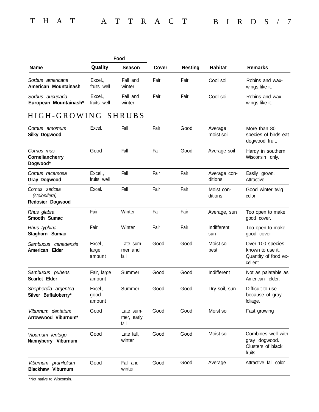|                                           | Food                   |                    |       |                |                |                                   |  |
|-------------------------------------------|------------------------|--------------------|-------|----------------|----------------|-----------------------------------|--|
| <b>Name</b>                               | Quality                | <b>Season</b>      | Cover | <b>Nesting</b> | <b>Habitat</b> | <b>Remarks</b>                    |  |
| Sorbus americana<br>American Mountainash  | Excel.,<br>fruits well | Fall and<br>winter | Fair  | Fair           | Cool soil      | Robins and wax-<br>wings like it. |  |
| Sorbus aucuparia<br>European Mountainash* | Excel.,<br>fruits well | Fall and<br>winter | Fair  | Fair           | Cool soil      | Robins and wax-<br>wings like it. |  |

#### HIGH-GROWING SHRUB S

| Cornus amomum<br><b>Silky Dogwood</b>               | Excel.                     | Fall                            | Fair | Good | Average<br>moist soil   | More than 80<br>species of birds eat<br>dogwood fruit.                   |
|-----------------------------------------------------|----------------------------|---------------------------------|------|------|-------------------------|--------------------------------------------------------------------------|
| Cornus mas<br>Corneliancherry<br>Dogwood*           | Good                       | Fall                            | Fair | Good | Average soil            | Hardy in southern<br>Wisconsin only.                                     |
| Cornus racemosa<br><b>Gray Dogwood</b>              | Excel.,<br>fruits well     | Fall                            | Fair | Fair | Average con-<br>ditions | Easily grown.<br>Attractive.                                             |
| Cornus sericea<br>(stolonifera)<br>Redosier Dogwood | Excel.                     | Fall                            | Fair | Fair | Moist con-<br>ditions   | Good winter twig<br>color.                                               |
| Rhus glabra<br>Smooth Sumac                         | Fair                       | Winter                          | Fair | Fair | Average, sun            | Too open to make<br>good cover.                                          |
| Rhus typhina<br>Staghorn Sumac                      | Fair                       | Winter                          | Fair | Fair | Indifferent,<br>sun     | Too open to make<br>good cover                                           |
| Sambucus canadensis<br>American Elder               | Excel.,<br>large<br>amount | Late sum-<br>mer and<br>fall    | Good | Good | Moist soil<br>best      | Over 100 species<br>known to use it.<br>Quantity of food ex-<br>cellent. |
| Sambucus pubens<br><b>Scarlet Elder</b>             | Fair, large<br>amount      | Summer                          | Good | Good | Indifferent             | Not as palatable as<br>American elder.                                   |
| Shepherdia argentea<br>Silver Buffaloberry*         | Excel.,<br>good<br>amount  | Summer                          | Good | Good | Dry soil, sun           | Difficult to use<br>because of gray<br>foliage.                          |
| Viburnum dentatum<br>Arrowwood Viburnum*            | Good                       | Late sum-<br>mer, early<br>fall | Good | Good | Moist soil              | Fast growing                                                             |
| Viburnum lentago<br>Nannyberry Viburnum             | Good                       | Late fall,<br>winter            | Good | Good | Moist soil              | Combines well with<br>gray dogwood.<br>Clusters of black<br>fruits.      |
| Viburnum prunifolium<br><b>Blackhaw Viburnum</b>    | Good                       | Fall and<br>winter              | Good | Good | Average                 | Attractive fall color.                                                   |

\*Not native to Wisconsin.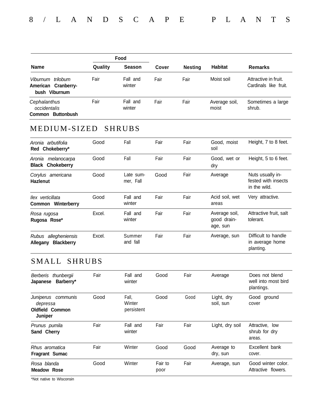|                                                           | Food    |                    |       |                |                        |                                               |  |
|-----------------------------------------------------------|---------|--------------------|-------|----------------|------------------------|-----------------------------------------------|--|
| <b>Name</b>                                               | Quality | <b>Season</b>      | Cover | <b>Nesting</b> | <b>Habitat</b>         | <b>Remarks</b>                                |  |
| Viburnum trilobum<br>American Cranberry-<br>bush Viburnum | Fair    | Fall and<br>winter | Fair  | Fair           | Moist soil             | Attractive in fruit.<br>Cardinals like fruit. |  |
| Cephalanthus<br>occidentalis<br><b>Common Buttonbush</b>  | Fair    | Fall and<br>winter | Fair  | Fair           | Average soil,<br>moist | Sometimes a large<br>shrub.                   |  |

#### MEDIUM-SIZED SHRUBS

| Aronia arbutifolia<br>Red Chokeberry*                    | Good   | Fall                   | Fair | Fair | Good, moist<br>soil                      | Height, 7 to 8 feet.                                    |
|----------------------------------------------------------|--------|------------------------|------|------|------------------------------------------|---------------------------------------------------------|
| Aronia<br>melanocarpa<br>Chokeberry<br>Black             | Good   | Fall                   | Fair | Fair | Good, wet or<br>dry                      | Height, 5 to 6 feet.                                    |
| Corylus americana<br><b>Hazlenut</b>                     | Good   | Late sum-<br>mer, Fall | Good | Fair | Average                                  | Nuts usually in-<br>fested with insects<br>in the wild. |
| llex verticillata<br><b>Common Winterberry</b>           | Good   | Fall and<br>winter     | Fair | Fair | Acid soil, wet<br>areas                  | Very attractive.                                        |
| Rosa rugosa<br>Rugosa Rose*                              | Excel. | Fall and<br>winter     | Fair | Fair | Average soil,<br>good drain-<br>age, sun | Attractive fruit, salt<br>tolerant.                     |
| allegheniensis<br>Rubus<br><b>Blackberry</b><br>Allegany | Excel. | Summer<br>and fall     | Fair | Fair | Average, sun                             | Difficult to handle<br>in average home<br>planting.     |

#### SMALL SHRUBS

| thunbergii<br><b>Berberis</b><br>Barberry*<br>Japanese          | Fair | Fall and<br>winter            | Good            | Fair | Average                 | Does not blend<br>well into most bird<br>plantings. |
|-----------------------------------------------------------------|------|-------------------------------|-----------------|------|-------------------------|-----------------------------------------------------|
| Juniperus<br>communis<br>depressa<br>Oldfield Common<br>Juniper | Good | Fall.<br>Winter<br>persistent | Good            | Good | Light, dry<br>soil, sun | Good ground<br>cover                                |
| Prunus pumila<br>Sand Cherry                                    | Fair | Fall and<br>winter            | Fair            | Fair | Light, dry soil         | Attractive, low<br>shrub for dry<br>areas.          |
| Rhus aromatica<br><b>Fragrant Sumac</b>                         | Fair | Winter                        | Good            | Good | Average to<br>dry, sun  | Excellent bank<br>cover.                            |
| Rosa blanda<br>Meadow Rose                                      | Good | Winter                        | Fair to<br>poor | Fair | Average, sun            | Good winter color.<br>Attractive<br>flowers.        |

\*Not native to Wisconsin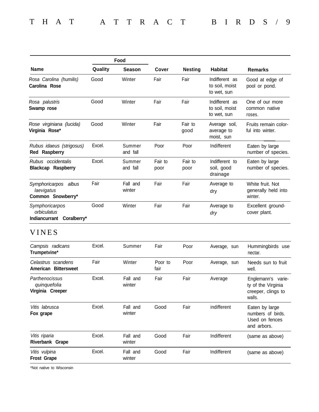|                                                            |         | Food               |                 |                 |                                                 |                                                                          |  |
|------------------------------------------------------------|---------|--------------------|-----------------|-----------------|-------------------------------------------------|--------------------------------------------------------------------------|--|
| <b>Name</b>                                                | Quality | <b>Season</b>      | Cover           | <b>Nesting</b>  | Habitat                                         | <b>Remarks</b>                                                           |  |
| Rosa Carolina (humilis)<br>Carolina Rose                   | Good    | Winter             | Fair            | Fair            | Indifferent as<br>to soil, moist<br>to wet, sun | Good at edge of<br>pool or pond.                                         |  |
| Rosa palustris<br>Swamp rose                               | Good    | Winter             | Fair            | Fair            | Indifferent as<br>to soil, moist<br>to wet, sun | One of our more<br>common native<br>roses.                               |  |
| Rose virginiana (lucida)<br>Virginia Rose*                 | Good    | Winter             | Fair            | Fair to<br>good | Average soil,<br>average to<br>moist, sun       | Fruits remain color-<br>ful into winter.                                 |  |
| Rubus idaeus (strigosus)<br>Red Raspberry                  | Excel.  | Summer<br>and fall | Poor            | Poor            | Indifferent                                     | Eaten by large<br>number of species.                                     |  |
| Rubus occidentalis<br><b>Blackcap Raspberry</b>            | Excel.  | Summer<br>and fall | Fair to<br>poor | Fair to<br>poor | Indifferent to<br>soil, good<br>drainage        | Eaten by large<br>number of species.                                     |  |
| Symphoricarpos albus<br>laevigatus<br>Common Snowberry*    | Fair    | Fall and<br>winter | Fair            | Fair            | Average to<br>dry                               | White fruit. Not<br>generally held into<br>winter.                       |  |
| Symphoricarpos<br>orbiculatus<br>Indiancurrant Coralberry* | Good    | Winter             | Fair            | Fair            | Average to<br>dry                               | Excellent ground-<br>cover plant.                                        |  |
| VINES                                                      |         |                    |                 |                 |                                                 |                                                                          |  |
| Campsis radicans<br>Trumpetvine*                           | Excel.  | Summer             | Fair            | Poor            | Average, sun                                    | Hummingbirds use<br>nectar.                                              |  |
| Celastrus scandens<br>American Bittersweet                 | Fair    | Winter             | Poor to<br>fair | Poor            | Average, sun                                    | Needs sun to fruit<br>well.                                              |  |
| Parthenocissus<br>quinquefolia<br>Virginia Creeper         | Excel.  | Fall and<br>winter | Fair            | Fair            | Average                                         | Englemann's varie-<br>ty of the Virginia<br>creeper, clings to<br>walls. |  |
| Vitis labrusca<br>Fox grape                                | Excel.  | Fall and<br>winter | Good            | Fair            | indifferent                                     | Eaten by large<br>numbers of birds.<br>Used on fences<br>and arbors.     |  |
| Vitis riparia<br>Riverbank Grape                           | Excel.  | Fall and<br>winter | Good            | Fair            | Indifferent                                     | (same as above)                                                          |  |
| Vitis vulpina<br><b>Frost Grape</b>                        | Excel.  | Fall and<br>winter | Good            | Fair            | Indifferent                                     | (same as above)                                                          |  |

\*Not native to Wisconsin